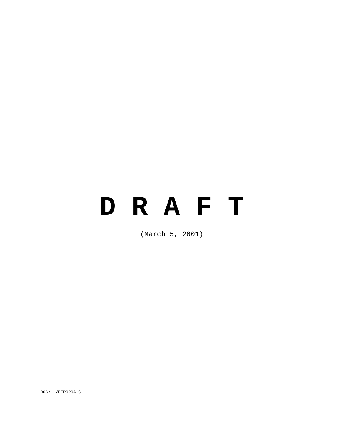# **D R A F T**

(March 5, 2001)

DOC: /PTPORQA-C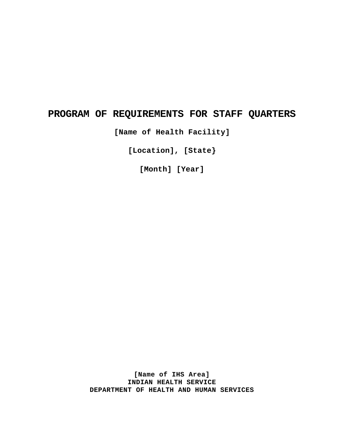# **PROGRAM OF REQUIREMENTS FOR STAFF QUARTERS**

**[Name of Health Facility]** 

**[Location], [State}** 

**[Month] [Year]** 

**[Name of IHS Area] INDIAN HEALTH SERVICE DEPARTMENT OF HEALTH AND HUMAN SERVICES**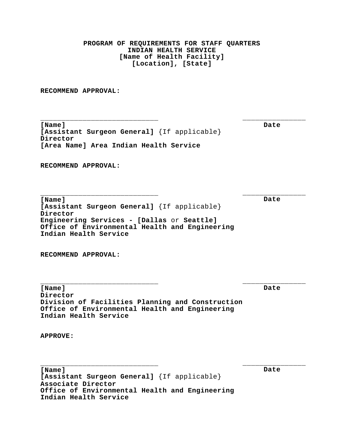**\_\_\_\_\_\_\_\_\_\_\_\_\_\_\_\_\_\_\_\_\_\_\_\_\_\_\_\_ \_\_\_\_\_\_\_\_\_\_\_\_\_\_\_\_\_\_\_\_\_\_\_\_\_\_\_\_ \_\_\_\_\_\_\_\_\_\_\_\_\_\_\_\_\_\_\_\_\_\_\_\_\_\_\_\_ \_\_\_\_\_\_\_\_\_\_\_\_\_\_\_ \_\_\_\_\_\_\_\_\_\_\_\_\_\_\_ \_\_\_\_\_\_\_\_\_\_\_\_\_\_\_ \_\_\_\_\_\_\_\_\_\_\_\_\_\_\_\_\_\_\_\_\_\_\_\_\_\_\_\_ \_\_\_\_\_\_\_\_\_\_\_\_\_\_\_ PROGRAM OF REQUIREMENTS FOR STAFF QUARTERS INDIAN HEALTH SERVICE [Name of Health Facility] [Location], [State] RECOMMEND APPROVAL: [Name] [Assistant Surgeon General]** {If applicable} **Director [Area Name] Area Indian Health Service RECOMMEND APPROVAL: [Name] [Assistant Surgeon General]** {If applicable} **Director Engineering Services - [Dallas** or **Seattle] Office of Environmental Health and Engineering Indian Health Service RECOMMEND APPROVAL: [Name] Director Division of Facilities Planning and Construction Office of Environmental Health and Engineering Indian Health Service APPROVE: [Name] [Assistant Surgeon General]** {If applicable} **Associate Director Office of Environmental Health and Engineering Date Date Date Date** 

**Indian Health Service**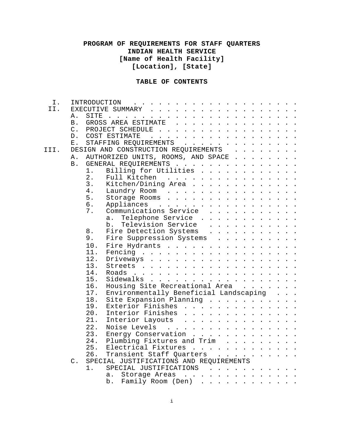# **TABLE OF CONTENTS**

| Ι.   |                |                                      |       |                                                                                                                                                                                                                                   |                    |                                    |  |                                                                                                                                                                                                                                      |  |  |  |  |                                         |  |
|------|----------------|--------------------------------------|-------|-----------------------------------------------------------------------------------------------------------------------------------------------------------------------------------------------------------------------------------|--------------------|------------------------------------|--|--------------------------------------------------------------------------------------------------------------------------------------------------------------------------------------------------------------------------------------|--|--|--|--|-----------------------------------------|--|
| II.  |                | EXECUTIVE SUMMARY                    |       |                                                                                                                                                                                                                                   |                    |                                    |  |                                                                                                                                                                                                                                      |  |  |  |  |                                         |  |
|      | Α.             | SITE                                 |       | $\frac{1}{2}$ . The contract of the contract of the contract of the contract of the contract of the contract of the contract of the contract of the contract of the contract of the contract of the contract of the contract of t |                    |                                    |  |                                                                                                                                                                                                                                      |  |  |  |  | $\cdot$ $\cdot$ $\cdot$ $\cdot$ $\cdot$ |  |
|      | B <sub>1</sub> | GROSS AREA ESTIMATE                  |       |                                                                                                                                                                                                                                   |                    |                                    |  |                                                                                                                                                                                                                                      |  |  |  |  |                                         |  |
|      | $\mathsf{C}$ . | PROJECT SCHEDULE                     |       |                                                                                                                                                                                                                                   |                    |                                    |  |                                                                                                                                                                                                                                      |  |  |  |  |                                         |  |
|      | $D$ .          |                                      |       | COST ESTIMATE                                                                                                                                                                                                                     |                    | <u>na kara kara kara kara kara</u> |  |                                                                                                                                                                                                                                      |  |  |  |  |                                         |  |
|      | Ε.             |                                      |       | STAFFING REQUIREMENTS                                                                                                                                                                                                             |                    |                                    |  |                                                                                                                                                                                                                                      |  |  |  |  |                                         |  |
| III. |                | DESIGN AND CONSTRUCTION REQUIREMENTS |       |                                                                                                                                                                                                                                   |                    |                                    |  |                                                                                                                                                                                                                                      |  |  |  |  |                                         |  |
|      | Α.             |                                      |       | AUTHORIZED UNITS, ROOMS, AND SPACE                                                                                                                                                                                                |                    |                                    |  |                                                                                                                                                                                                                                      |  |  |  |  |                                         |  |
|      | B.             |                                      |       | GENERAL REQUIREMENTS                                                                                                                                                                                                              |                    |                                    |  |                                                                                                                                                                                                                                      |  |  |  |  |                                         |  |
|      |                | 1.                                   |       | Billing for Utilities                                                                                                                                                                                                             |                    |                                    |  |                                                                                                                                                                                                                                      |  |  |  |  |                                         |  |
|      |                | 2.                                   |       |                                                                                                                                                                                                                                   |                    |                                    |  |                                                                                                                                                                                                                                      |  |  |  |  |                                         |  |
|      |                | 3.                                   |       | Full Kitchen<br>Kitchen/Dining Area                                                                                                                                                                                               |                    |                                    |  |                                                                                                                                                                                                                                      |  |  |  |  |                                         |  |
|      |                | 4.                                   |       |                                                                                                                                                                                                                                   |                    |                                    |  |                                                                                                                                                                                                                                      |  |  |  |  |                                         |  |
|      |                | 5.                                   |       | Laundry Room                                                                                                                                                                                                                      |                    |                                    |  |                                                                                                                                                                                                                                      |  |  |  |  |                                         |  |
|      |                |                                      |       | Storage Rooms                                                                                                                                                                                                                     |                    |                                    |  |                                                                                                                                                                                                                                      |  |  |  |  |                                         |  |
|      |                | 6.                                   |       | Appliances                                                                                                                                                                                                                        |                    |                                    |  |                                                                                                                                                                                                                                      |  |  |  |  |                                         |  |
|      |                | 7.                                   |       | Communications Service                                                                                                                                                                                                            |                    |                                    |  |                                                                                                                                                                                                                                      |  |  |  |  |                                         |  |
|      |                |                                      | $a$ . |                                                                                                                                                                                                                                   | Telephone Service  |                                    |  |                                                                                                                                                                                                                                      |  |  |  |  |                                         |  |
|      |                |                                      | b.    |                                                                                                                                                                                                                                   | Television Service |                                    |  |                                                                                                                                                                                                                                      |  |  |  |  |                                         |  |
|      |                | 8.                                   |       | Fire Detection Systems                                                                                                                                                                                                            |                    |                                    |  |                                                                                                                                                                                                                                      |  |  |  |  |                                         |  |
|      |                | 9.                                   |       | Fire Suppression Systems                                                                                                                                                                                                          |                    |                                    |  |                                                                                                                                                                                                                                      |  |  |  |  |                                         |  |
|      |                | 10.                                  |       | Fire Hydrants                                                                                                                                                                                                                     |                    |                                    |  |                                                                                                                                                                                                                                      |  |  |  |  |                                         |  |
|      |                | 11.                                  |       |                                                                                                                                                                                                                                   |                    |                                    |  |                                                                                                                                                                                                                                      |  |  |  |  |                                         |  |
|      |                | 12.                                  |       | Driveways                                                                                                                                                                                                                         |                    |                                    |  |                                                                                                                                                                                                                                      |  |  |  |  |                                         |  |
|      |                | 13.                                  |       |                                                                                                                                                                                                                                   |                    |                                    |  |                                                                                                                                                                                                                                      |  |  |  |  |                                         |  |
|      |                | 14.                                  |       |                                                                                                                                                                                                                                   |                    |                                    |  |                                                                                                                                                                                                                                      |  |  |  |  |                                         |  |
|      |                | 15.                                  |       | Sidewalks                                                                                                                                                                                                                         |                    |                                    |  |                                                                                                                                                                                                                                      |  |  |  |  |                                         |  |
|      |                | 16.                                  |       | Housing Site Recreational Area                                                                                                                                                                                                    |                    |                                    |  |                                                                                                                                                                                                                                      |  |  |  |  |                                         |  |
|      |                | 17.                                  |       | Environmentally Beneficial Landscaping                                                                                                                                                                                            |                    |                                    |  |                                                                                                                                                                                                                                      |  |  |  |  |                                         |  |
|      |                | 18.                                  |       | Site Expansion Planning                                                                                                                                                                                                           |                    |                                    |  |                                                                                                                                                                                                                                      |  |  |  |  |                                         |  |
|      |                | 19.                                  |       | Exterior Finishes                                                                                                                                                                                                                 |                    |                                    |  |                                                                                                                                                                                                                                      |  |  |  |  |                                         |  |
|      |                | 20.                                  |       | Interior Finishes                                                                                                                                                                                                                 |                    |                                    |  |                                                                                                                                                                                                                                      |  |  |  |  |                                         |  |
|      |                | 21.                                  |       | Interior Layouts                                                                                                                                                                                                                  |                    |                                    |  |                                                                                                                                                                                                                                      |  |  |  |  |                                         |  |
|      |                | 22.                                  |       | Noise Levels                                                                                                                                                                                                                      |                    |                                    |  |                                                                                                                                                                                                                                      |  |  |  |  |                                         |  |
|      |                | 23.                                  |       | Energy Conservation                                                                                                                                                                                                               |                    |                                    |  |                                                                                                                                                                                                                                      |  |  |  |  |                                         |  |
|      |                | 24.                                  |       | Plumbing Fixtures and Trim                                                                                                                                                                                                        |                    |                                    |  |                                                                                                                                                                                                                                      |  |  |  |  |                                         |  |
|      |                | 25.                                  |       | Electrical Fixtures                                                                                                                                                                                                               |                    |                                    |  | <u>in the second contract of the second contract of the second contract of the second contract of the second contract of the second contract of the second contract of the second contract of the second contract of the second </u> |  |  |  |  |                                         |  |
|      |                | 26.                                  |       | Transient Staff Quarters                                                                                                                                                                                                          |                    |                                    |  |                                                                                                                                                                                                                                      |  |  |  |  |                                         |  |
|      | $\mathsf C$ .  |                                      |       | SPECIAL JUSTIFICATIONS AND REQUIREMENTS                                                                                                                                                                                           |                    |                                    |  |                                                                                                                                                                                                                                      |  |  |  |  |                                         |  |
|      |                |                                      |       |                                                                                                                                                                                                                                   |                    |                                    |  |                                                                                                                                                                                                                                      |  |  |  |  |                                         |  |
|      |                | 1.                                   |       | SPECIAL JUSTIFICATIONS                                                                                                                                                                                                            |                    |                                    |  |                                                                                                                                                                                                                                      |  |  |  |  |                                         |  |
|      |                |                                      | а.    |                                                                                                                                                                                                                                   | Storage Areas      |                                    |  |                                                                                                                                                                                                                                      |  |  |  |  |                                         |  |
|      |                |                                      | b.    |                                                                                                                                                                                                                                   | Family Room (Den)  |                                    |  | $\mathbf{r}^{\prime}$ , $\mathbf{r}^{\prime}$ , $\mathbf{r}^{\prime}$ , $\mathbf{r}^{\prime}$ , $\mathbf{r}^{\prime}$ , $\mathbf{r}^{\prime}$ , $\mathbf{r}^{\prime}$ ,                                                              |  |  |  |  |                                         |  |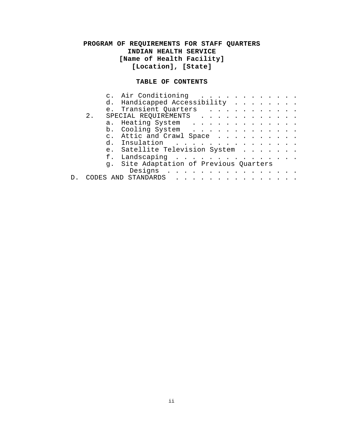### **TABLE OF CONTENTS**

|    | $\mathsf{C}$ . | Air Conditioning                     |  |  |  |  |  |  |  |  |
|----|----------------|--------------------------------------|--|--|--|--|--|--|--|--|
|    |                | d. Handicapped Accessibility         |  |  |  |  |  |  |  |  |
|    | e <sub>1</sub> | Transient Quarters                   |  |  |  |  |  |  |  |  |
| 2. |                | SPECIAL REQUIREMENTS                 |  |  |  |  |  |  |  |  |
|    |                | a. Heating System                    |  |  |  |  |  |  |  |  |
|    |                | b. Cooling System.                   |  |  |  |  |  |  |  |  |
|    | $C_{\infty}$   | Attic and Crawl Space.               |  |  |  |  |  |  |  |  |
|    | d.             | Insulation                           |  |  |  |  |  |  |  |  |
|    | e <sub>1</sub> | Satellite Television System          |  |  |  |  |  |  |  |  |
|    | f.             | Landscaping                          |  |  |  |  |  |  |  |  |
|    | q.             | Site Adaptation of Previous Quarters |  |  |  |  |  |  |  |  |
|    |                | Designs                              |  |  |  |  |  |  |  |  |
|    |                | STANDARDS                            |  |  |  |  |  |  |  |  |
|    |                |                                      |  |  |  |  |  |  |  |  |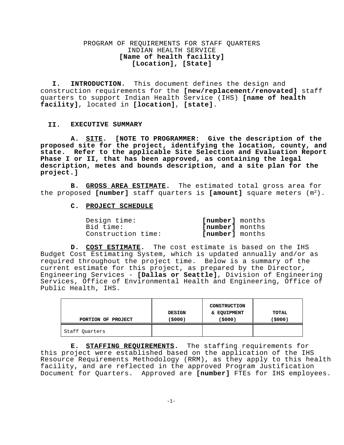**I. INTRODUCTION.** This document defines the design and construction requirements for the **[new/replacement/renovated]** staff quarters to support Indian Health Service (IHS) **[name of health facility]**, located in **[location]**, **[state]**.

#### **II. EXECUTIVE SUMMARY**

**A. SITE. [NOTE TO PROGRAMMER: Give the description of the proposed site for the project, identifying the location, county, and state. Refer to the applicable Site Selection and Evaluation Report Phase I or II, that has been approved, as containing the legal description, metes and bounds description, and a site plan for the project.]** 

**B. GROSS AREA ESTIMATE.** The estimated total gross area for the proposed [number] staff quarters is [amount] square meters (m<sup>2</sup>).

#### **C. PROJECT SCHEDULE**

| Design time:       | [number] months        |
|--------------------|------------------------|
| Bid time:          | <b>Inumberl</b> months |
| Construction time: | [number] months        |

**D. COST ESTIMATE.** The cost estimate is based on the IHS Budget Cost Estimating System, which is updated annually and/or as required throughout the project time. Below is a summary of the current estimate for this project, as prepared by the Director, Engineering Services - **[Dallas or Seattle]**, Division of Engineering Services, Office of Environmental Health and Engineering, Office of Public Health, IHS.

| PORTION OF PROJECT | <b>DESIGN</b><br>(\$000) | <b>CONSTRUCTION</b><br>& EQUIPMENT<br>(\$000) | TOTAL<br>(\$000) |
|--------------------|--------------------------|-----------------------------------------------|------------------|
| Staff Quarters     |                          |                                               |                  |

**E. STAFFING REQUIREMENTS.** The staffing requirements for this project were established based on the application of the IHS Resource Requirements Methodology (RRM), as they apply to this health facility, and are reflected in the approved Program Justification Document for Quarters. Approved are **[number]** FTEs for IHS employees.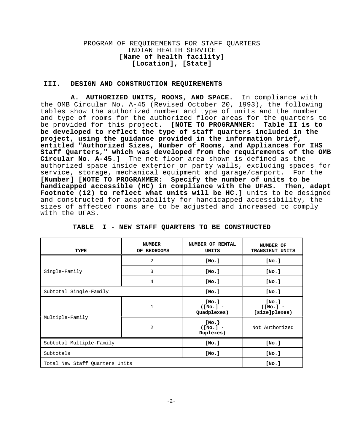#### **III. DESIGN AND CONSTRUCTION REQUIREMENTS**

**A. AUTHORIZED UNITS, ROOMS, AND SPACE.** In compliance with the OMB Circular No. A-45 (Revised October 20, 1993), the following tables show the authorized number and type of units and the number and type of rooms for the authorized floor areas for the quarters to<br>be provided for this project. [NOTE TO PROGRAMMER: Table II is to be provided for this project. **[NOTE TO PROGRAMMER: be developed to reflect the type of staff quarters included in the project, using the guidance provided in the information brief, entitled "Authorized Sizes, Number of Rooms, and Appliances for IHS Staff Quarters," which was developed from the requirements of the OMB Circular No. A-45.]** The net floor area shown is defined as the authorized space inside exterior or party walls, excluding spaces for service, storage, mechanical equipment and garage/carport. For the **[Number] [NOTE TO PROGRAMMER: Specify the number of units to be handicapped accessible (HC) in compliance with the UFAS. Then, adapt Footnote (12) to reflect what units will be HC.]** units to be designed and constructed for adaptability for handicapped accessibility, the sizes of affected rooms are to be adjusted and increased to comply with the UFAS.

| TYPE                           | <b>NUMBER</b><br><b>BEDROOMS</b><br>OF. | NUMBER OF RENTAL<br>UNITS           | NUMBER OF<br>TRANSIENT UNITS          |  |  |
|--------------------------------|-----------------------------------------|-------------------------------------|---------------------------------------|--|--|
|                                | 2                                       | [No.]                               | [No.]                                 |  |  |
| Single-Family                  | 3                                       | [No.]                               | [No.]                                 |  |  |
|                                | 4                                       | [No.]                               | [No.]                                 |  |  |
| Subtotal Single-Family         |                                         | [No.]                               | [No.]                                 |  |  |
|                                | $\mathbf{1}$                            | [No.]<br>$( [No.]$ -<br>Quadplexes) | [No.]<br>$( [No.]$ -<br>[size]plexes) |  |  |
| Multiple-Family                | 2                                       | [No.<br>$( [No.]$ -<br>Duplexes)    | Not Authorized                        |  |  |
| Subtotal Multiple-Family       |                                         | [No.]                               | [No.]                                 |  |  |
| Subtotals                      |                                         | [No.]                               | [No.]                                 |  |  |
| Total New Staff Quarters Units |                                         |                                     | [No.]                                 |  |  |

**TABLE I - NEW STAFF QUARTERS TO BE CONSTRUCTED**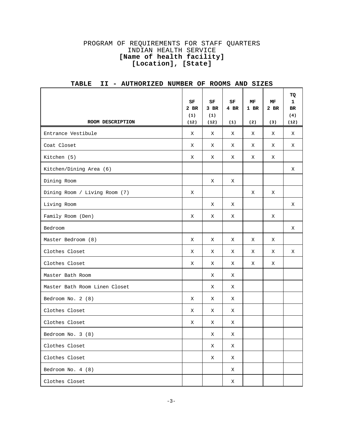| ROOM DESCRIPTION              | SF<br>$2$ BR<br>(1)<br>(12) | SF<br>3 BR<br>(1)<br>(12) | SF<br>4 BR<br>(1) | MF<br>1 BR<br>(2) | MF<br>2 BR<br>(3) | <b>TQ</b><br>$\mathbf{1}$<br><b>BR</b><br>(4)<br>(12) |
|-------------------------------|-----------------------------|---------------------------|-------------------|-------------------|-------------------|-------------------------------------------------------|
| Entrance Vestibule            | X                           | X                         | X                 | X                 | X                 | X                                                     |
| Coat Closet                   | X                           | X                         | X                 | X                 | X                 | Χ                                                     |
| Kitchen (5)                   | X                           | X                         | X                 | X                 | X                 |                                                       |
| Kitchen/Dining Area (6)       |                             |                           |                   |                   |                   | Χ                                                     |
| Dining Room                   |                             | X                         | X                 |                   |                   |                                                       |
| Dining Room / Living Room (7) | X                           |                           |                   | X                 | X                 |                                                       |
| Living Room                   |                             | X                         | X                 |                   |                   | X                                                     |
| Family Room (Den)             | Χ                           | X                         | X                 |                   | Χ                 |                                                       |
| Bedroom                       |                             |                           |                   |                   |                   | X                                                     |
| Master Bedroom (8)            | X                           | X                         | X                 | Χ                 | Χ                 |                                                       |
| Clothes Closet                | X                           | X                         | Χ                 | Χ                 | Χ                 | Χ                                                     |
| Clothes Closet                | X                           | X                         | X                 | X                 | X                 |                                                       |
| Master Bath Room              |                             | X                         | X                 |                   |                   |                                                       |
| Master Bath Room Linen Closet |                             | Χ                         | Χ                 |                   |                   |                                                       |
| Bedroom No. 2 (8)             | X                           | X                         | Χ                 |                   |                   |                                                       |
| Clothes Closet                | X                           | X                         | X                 |                   |                   |                                                       |
| Clothes Closet                | X                           | X                         | Χ                 |                   |                   |                                                       |
| Bedroom No. 3 (8)             |                             | Χ                         | Χ                 |                   |                   |                                                       |
| Clothes Closet                |                             | X                         | Χ                 |                   |                   |                                                       |
| Clothes Closet                |                             | X                         | X                 |                   |                   |                                                       |
| Bedroom No. 4 (8)             |                             |                           | X                 |                   |                   |                                                       |
| Clothes Closet                |                             |                           | X                 |                   |                   |                                                       |

# **TABLE II - AUTHORIZED NUMBER OF ROOMS AND SIZES**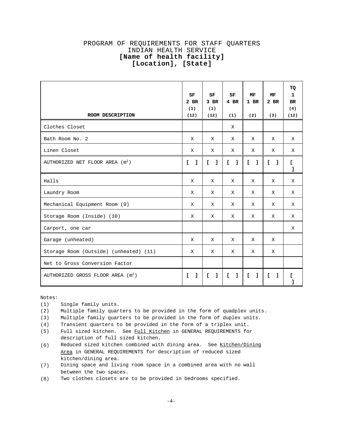|                                               | SF<br>2 BR<br>(1)            | SF<br>$3$ BR<br>(1) | SF<br>4 BR         | МF<br>$1$ BR                 | МF<br>$2$ BR       | TQ<br>1<br><b>BR</b><br>(4) |
|-----------------------------------------------|------------------------------|---------------------|--------------------|------------------------------|--------------------|-----------------------------|
| ROOM DESCRIPTION                              | (12)                         | (12)                | (1)                | (2)                          | (3)                | (12)                        |
| Clothes Closet                                |                              |                     | X                  |                              |                    |                             |
| Bath Room No. 2                               | X                            | X                   | X                  | X                            | X                  | X                           |
| Linen Closet                                  | X                            | X                   | X                  | X                            | X                  | X                           |
| AUTHORIZED NET FLOOR AREA $(m2)$              | $\mathsf{L}$<br>$\mathbf{I}$ | L.<br>$\mathbf{1}$  | L<br>$\mathbf{1}$  | $\mathbf{r}$<br>- 1          | $\mathbf{r}$<br>-1 | r.<br>ı                     |
| Halls                                         | X                            | X                   | X                  | X                            | X                  | X                           |
| Laundry Room                                  | X                            | X                   | X                  | X                            | $\mathbf{X}$       | X                           |
| Mechanical Equipment Room (9)                 | X                            | X                   | X                  | X                            | X                  | X                           |
| Storage Room (Inside) (10)                    | X                            | X                   | X                  | X                            | X                  | X                           |
| Carport, one car                              |                              |                     |                    |                              |                    | X                           |
| Garage (unheated)                             | X                            | X                   | X                  | X                            | X                  |                             |
| Storage Room (Outside) (unheated) (11)        | X                            | X                   | X                  | X                            | X                  |                             |
| Net to Gross Conversion Factor                |                              |                     |                    |                              |                    |                             |
| AUTHORIZED GROSS FLOOR AREA (m <sup>2</sup> ) | L.<br>$\mathbf{1}$           | Ι.<br>$\mathbf{L}$  | $\mathbf{I}$<br>I. | $\mathbf{r}$<br>$\mathbf{1}$ | r.<br>L.           |                             |

Notes:

- (1) Single family units.
- (2) Multiple family quarters to be provided in the form of quadplex units.

(3) Multiple family quarters to be provided in the form of duplex units.

(4) Transient quarters to be provided in the form of a triplex unit.

- (5) Full sized kitchen. See Full Kitchen in GENERAL REQUIREMENTS for description of full sized kitchen.
- (6) Reduced sized kitchen combined with dining area. See Kitchen/Dining Area in GENERAL REQUIREMENTS for description of reduced sized kitchen/dining area.
- (7) Dining space and living room space in a combined area with no wall between the two spaces.
- (8) Two clothes closets are to be provided in bedrooms specified.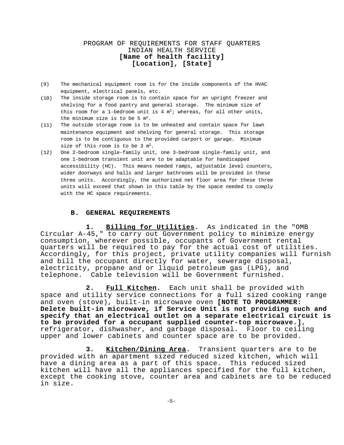- (9) The mechanical equipment room is for the inside components of the HVAC equipment, electrical panels, etc.
- (10) The inside storage room is to contain space for an upright freezer and shelving for a food pantry and general storage. The minimum size of this room for a 1-bedroom unit is 4  $m^2$ ; whereas, for all other units, the minimum size is to be  $5 \text{ m}^2$ .
- (11) The outside storage room is to be unheated and contain space for lawn maintenance equipment and shelving for general storage. This storage room is to be contiguous to the provided carport or garage. Minimum size of this room is to be 3 m<sup>2</sup>.
- (12) One 2-bedroom single-family unit, one 3-bedroom single-family unit, and one 1-bedroom transient unit are to be adaptable for handicapped accessibility (HC). This means needed ramps, adjustable level counters, wider doorways and halls and larger bathrooms will be provided in these three units. Accordingly, the authorized net floor area for these three units will exceed that shown in this table by the space needed to comply with the HC space requirements.

#### **B. GENERAL REQUIREMENTS**

**1. Billing for Utilities.** As indicated in the "OMB Circular A-45," to carry out Government policy to minimize energy consumption, wherever possible, occupants of Government rental quarters will be required to pay for the actual cost of utilities. Accordingly, for this project, private utility companies will furnish and bill the occupant directly for water, sewerage disposal, electricity, propane and or liquid petroleum gas (LPG), and telephone. Cable television will be Government furnished.

**2. Full Kitchen.** Each unit shall be provided with space and utility service connections for a full sized cooking range and oven (stove), built-in microwave oven **[NOTE TO PROGRAMMER: Delete built-in microwave, if Service Unit is not providing such and specify that an electrical outlet on a separate electrical circuit is to be provided for a occupant supplied counter-top microwave.]**, refrigerator, dishwasher, and garbage disposal. Floor to ceiling upper and lower cabinets and counter space are to be provided.

**3. Kitchen/Dining Area.** Transient quarters are to be provided with an apartment sized reduced sized kitchen, which will have a dining area as a part of this space. This reduced sized kitchen will have all the appliances specified for the full kitchen, except the cooking stove, counter area and cabinets are to be reduced in size.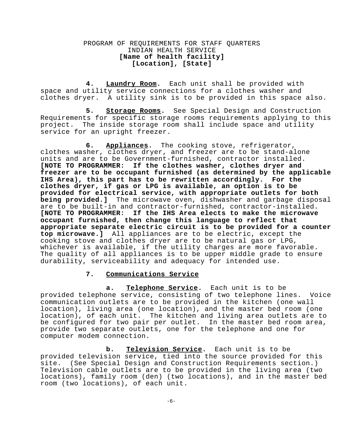**4. Laundry Room.** Each unit shall be provided with space and utility service connections for a clothes washer and clothes dryer. A utility sink is to be provided in this space also.

**5. Storage Rooms.** See Special Design and Construction Requirements for specific storage rooms requirements applying to this project. The inside storage room shall include space and utility service for an upright freezer.

**6. Appliances.** The cooking stove, refrigerator, clothes washer, clothes dryer, and freezer are to be stand-alone units and are to be Government-furnished, contractor installed. **[NOTE TO PROGRAMMER: If the clothes washer, clothes dryer and freezer are to be occupant furnished (as determined by the applicable IHS Area), this part has to be rewritten accordingly. For the clothes dryer, if gas or LPG is available, an option is to be provided for electrical service, with appropriate outlets for both being provided.]** The microwave oven, dishwasher and garbage disposal are to be built-in and contractor-furnished, contractor-installed. **[NOTE TO PROGRAMMER: If the IHS Area elects to make the microwave occupant furnished, then change this language to reflect that appropriate separate electric circuit is to be provided for a counter top microwave.]** All appliances are to be electric, except the cooking stove and clothes dryer are to be natural gas or LPG, whichever is available, if the utility charges are more favorable. The quality of all appliances is to be upper middle grade to ensure durability, serviceability and adequacy for intended use.

### **7. Communications Service**

**a. Telephone Service.** Each unit is to be provided telephone service, consisting of two telephone lines. Voice communication outlets are to be provided in the kitchen (one wall location), living area (one location), and the master bed room (one location), of each unit. The kitchen and living area outlets are to be configured for two pair per outlet. In the master bed room area, provide two separate outlets, one for the telephone and one for computer modem connection.

**b. Television Service.** Each unit is to be provided television service, tied into the source provided for this site. (See Special Design and Construction Requirements section.) Television cable outlets are to be provided in the living area (two locations), family room (den) (two locations), and in the master bed room (two locations), of each unit.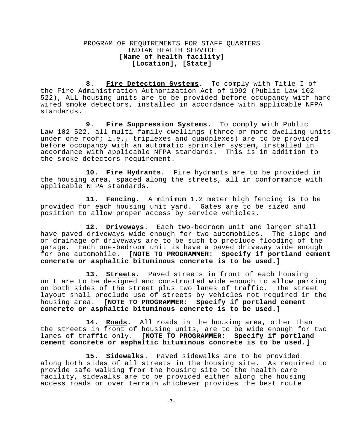**8. Fire Detection Systems.** To comply with Title I of the Fire Administration Authorization Act of 1992 (Public Law 102 522), ALL housing units are to be provided before occupancy with hard wired smoke detectors, installed in accordance with applicable NFPA standards.

9. Fire Suppression Systems. To comply with Public Law 102-522, all multi-family dwellings (three or more dwelling units under one roof; i.e., triplexes and quadplexes) are to be provided before occupancy with an automatic sprinkler system, installed in accordance with applicable NFPA standards. This is in addition to the smoke detectors requirement.

**10. Fire Hydrants.** Fire hydrants are to be provided in the housing area, spaced along the streets, all in conformance with applicable NFPA standards.

**11. Fencing.** A minimum 1.2 meter high fencing is to be provided for each housing unit yard. Gates are to be sized and position to allow proper access by service vehicles.

**12. Driveways.** Each two-bedroom unit and larger shall have paved driveways wide enough for two automobiles. The slope and or drainage of driveways are to be such to preclude flooding of the garage. Each one-bedroom unit is have a paved driveway wide enough for one automobile. **[NOTE TO PROGRAMMER: Specify if portland cement concrete or asphaltic bituminous concrete is to be used.]** 

**13. Streets.** Paved streets in front of each housing unit are to be designed and constructed wide enough to allow parking on both sides of the street plus two lanes of traffic. The street layout shall preclude use of streets by vehicles not required in the housing area. **[NOTE TO PROGRAMMER: Specify if portland cement concrete or asphaltic bituminous concrete is to be used.]** 

**14. Roads.** All roads in the housing area, other than the streets in front of housing units, are to be wide enough for two lanes of traffic only. **[NOTE TO PROGRAMMER: Specify if portland cement concrete or asphaltic bituminous concrete is to be used.]** 

**15. Sidewalks.** Paved sidewalks are to be provided along both sides of all streets in the housing site. As required to provide safe walking from the housing site to the health care facility, sidewalks are to be provided either along the housing access roads or over terrain whichever provides the best route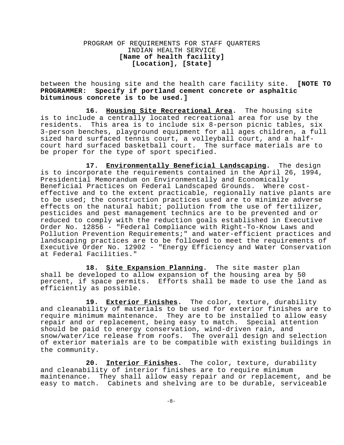between the housing site and the health care facility site. **[NOTE TO PROGRAMMER: Specify if portland cement concrete or asphaltic bituminous concrete is to be used.]** 

**16. Housing Site Recreational Area.** The housing site is to include a centrally located recreational area for use by the residents. This area is to include six 8-person picnic tables, six 3-person benches, playground equipment for all ages children, a full sized hard surfaced tennis court, a volleyball court, and a halfcourt hard surfaced basketball court. The surface materials are to be proper for the type of sport specified.

**17. Environmentally Beneficial Landscaping.** The design is to incorporate the requirements contained in the April 26, 1994, Presidential Memorandum on Environmentally and Economically Beneficial Practices on Federal Landscaped Grounds. Where costeffective and to the extent practicable, regionally native plants are to be used; the construction practices used are to minimize adverse effects on the natural habit; pollution from the use of fertilizer, pesticides and pest management technics are to be prevented and or reduced to comply with the reduction goals established in Executive Order No. 12856 - "Federal Compliance with Right-To-Know Laws and Pollution Prevention Requirements;" and water-efficient practices and landscaping practices are to be followed to meet the requirements of Executive Order No. 12902 - "Energy Efficiency and Water Conservation at Federal Facilities."

**18. Site Expansion Planning.** The site master plan shall be developed to allow expansion of the housing area by 50 percent, if space permits. Efforts shall be made to use the land as efficiently as possible.

**19. Exterior Finishes.** The color, texture, durability and cleanability of materials to be used for exterior finishes are to require minimum maintenance. They are to be installed to allow easy repair and or replacement, being easy to match. Special attention should be paid to energy conservation, wind-driven rain, and snow/water/ice release from roofs. The overall design and selection of exterior materials are to be compatible with existing buildings in the community.

**20. Interior Finishes.** The color, texture, durability and cleanability of interior finishes are to require minimum maintenance. They shall allow easy repair and or replacement, and be easy to match. Cabinets and shelving are to be durable, serviceable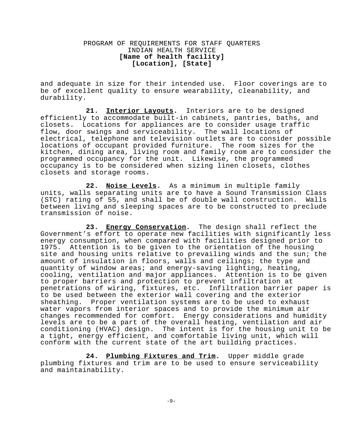and adequate in size for their intended use. Floor coverings are to be of excellent quality to ensure wearability, cleanability, and durability.

**21. Interior Layouts.** Interiors are to be designed efficiently to accommodate built-in cabinets, pantries, baths, and closets. Locations for appliances are to consider usage traffic flow, door swings and serviceability. The wall locations of electrical, telephone and television outlets are to consider possible locations of occupant provided furniture. The room sizes for the kitchen, dining area, living room and family room are to consider the programmed occupancy for the unit. Likewise, the programmed occupancy is to be considered when sizing linen closets, clothes closets and storage rooms.

**22. Noise Levels.** As a minimum in multiple family units, walls separating units are to have a Sound Transmission Class (STC) rating of 55, and shall be of double wall construction. Walls between living and sleeping spaces are to be constructed to preclude transmission of noise.

**23. Energy Conservation.** The design shall reflect the Government's effort to operate new facilities with significantly less energy consumption, when compared with facilities designed prior to 1975. Attention is to be given to the orientation of the housing site and housing units relative to prevailing winds and the sun; the amount of insulation in floors, walls and ceilings; the type and quantity of window areas; and energy-saving lighting, heating, cooling, ventilation and major appliances. Attention is to be given to proper barriers and protection to prevent infiltration at penetrations of wiring, fixtures, etc. Infiltration barrier paper is to be used between the exterior wall covering and the exterior sheathing. Proper ventilation systems are to be used to exhaust water vapors from interior spaces and to provide the minimum air changes recommended for comfort. Energy considerations and humidity levels are to be a part of the overall heating, ventilation and air conditioning (HVAC) design. The intent is for the housing unit to be a tight, energy efficient, and comfortable living unit, which will conform with the current state of the art building practices.

**24. Plumbing Fixtures and Trim.** Upper middle grade plumbing fixtures and trim are to be used to ensure serviceability and maintainability.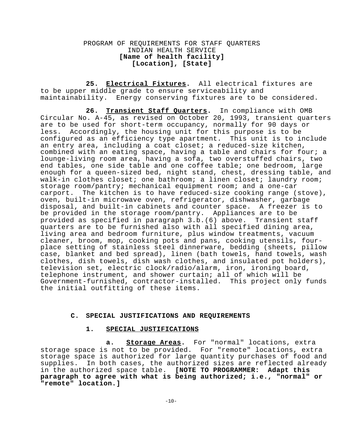**25. Electrical Fixtures.** All electrical fixtures are to be upper middle grade to ensure serviceability and maintainability. Energy conserving fixtures are to be considered.

**26. Transient Staff Quarters.** In compliance with OMB Circular No. A-45, as revised on October 20, 1993, transient quarters are to be used for short-term occupancy, normally for 90 days or less. Accordingly, the housing unit for this purpose is to be configured as an efficiency type apartment. This unit is to include an entry area, including a coat closet; a reduced-size kitchen, combined with an eating space, having a table and chairs for four; a lounge-living room area, having a sofa, two overstuffed chairs, two end tables, one side table and one coffee table; one bedroom, large enough for a queen-sized bed, night stand, chest, dressing table, and walk-in clothes closet; one bathroom; a linen closet; laundry room; storage room/pantry; mechanical equipment room; and a one-car carport. The kitchen is to have reduced-size cooking range (stove), oven, built-in microwave oven, refrigerator, dishwasher, garbage disposal, and built-in cabinets and counter space. A freezer is to be provided in the storage room/pantry. Appliances are to be provided as specified in paragraph 3.b.(6) above. Transient staff quarters are to be furnished also with all specified dining area, living area and bedroom furniture, plus window treatments, vacuum cleaner, broom, mop, cooking pots and pans, cooking utensils, fourplace setting of stainless steel dinnerware, bedding (sheets, pillow case, blanket and bed spread), linen (bath towels, hand towels, wash clothes, dish towels, dish wash clothes, and insulated pot holders), television set, electric clock/radio/alarm, iron, ironing board, telephone instrument, and shower curtain; all of which will be Government-furnished, contractor-installed. This project only funds the initial outfitting of these items.

#### **C. SPECIAL JUSTIFICATIONS AND REQUIREMENTS**

#### **1. SPECIAL JUSTIFICATIONS**

**a. Storage Areas.** For "normal" locations, extra storage space is not to be provided. For "remote" locations, extra storage space is authorized for large quantity purchases of food and supplies. In both cases, the authorized sizes are reflected already in the authorized space table. **[NOTE TO PROGRAMMER: Adapt this paragraph to agree with what is being authorized; i.e., "normal" or "remote" location.]**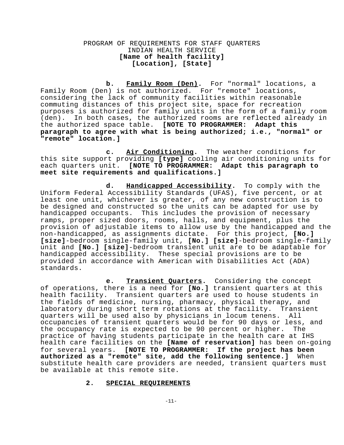**b. Family Room (Den).** For "normal" locations, a Family Room (Den) is not authorized. For "remote" locations, considering the lack of community facilities within reasonable commuting distances of this project site, space for recreation purposes is authorized for family units in the form of a family room (den). In both cases, the authorized rooms are reflected already in the authorized space table. **[NOTE TO PROGRAMMER: Adapt this paragraph to agree with what is being authorized; i.e., "normal" or "remote" location.]** 

**c. Air Conditioning.** The weather conditions for this site support providing **[type]** cooling air conditioning units for each quarters unit. **[NOTE TO PROGRAMMER: Adapt this paragraph to meet site requirements and qualifications.]** 

**d. Handicapped Accessibility.** To comply with the Uniform Federal Accessibility Standards (UFAS), five percent, or at least one unit, whichever is greater, of any new construction is to be designed and constructed so the units can be adapted for use by handicapped occupants. This includes the provision of necessary ramps, proper sized doors, rooms, halls, and equipment, plus the provision of adjustable items to allow use by the handicapped and the non-handicapped, as assignments dictate. For this project, **[No.] [size]**-bedroom single-family unit, **[No.] [size]**-bedroom single-family unit and **[No.] [size]**-bedroom transient unit are to be adaptable for handicapped accessibility. These special provisions are to be provided in accordance with American with Disabilities Act (ADA) standards.

**e. Transient Quarters.** Considering the concept of operations, there is a need for **[No.]** transient quarters at this health facility. Transient quarters are used to house students in the fields of medicine, nursing, pharmacy, physical therapy, and laboratory during short term rotations at the facility. Transient quarters will be used also by physicians in locum tenens. All occupancies of transient quarters would be for 90 days or less, and the occupancy rate is expected to be 90 percent or higher. The practice of having students participate in the health care at IHS health care facilities on the **[Name of reservation]** has been on-going for several years. **[NOTE TO PROGRAMMER: If the project has been authorized as a "remote" site, add the following sentence.]** When substitute health care providers are needed, transient quarters must be available at this remote site.

#### **2. SPECIAL REQUIREMENTS**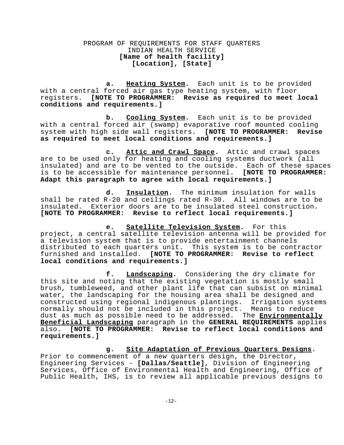**a. Heating System.** Each unit is to be provided with a central forced air gas type heating system, with floor registers. **[NOTE TO PROGRAMMER: Revise as required to meet local conditions and requirements.]** 

**b. Cooling System.** Each unit is to be provided with a central forced air (swamp) evaporative roof mounted cooling system with high side wall registers. **[NOTE TO PROGRAMMER: Revise as required to meet local conditions and requirements.]** 

**c. Attic and Crawl Space.** Attic and crawl spaces are to be used only for heating and cooling systems ductwork (all insulated) and are to be vented to the outside. Each of these spaces is to be accessible for maintenance personnel. **[NOTE TO PROGRAMMER: Adapt this paragraph to agree with local requirements.]** 

**d. Insulation.** The minimum insulation for walls shall be rated R-20 and ceilings rated R-30. All windows are to be insulated. Exterior doors are to be insulated steel construction. **[NOTE TO PROGRAMMER: Revise to reflect local requirements.]** 

**e. Satellite Television System.** For this project, a central satellite television antenna will be provided for a television system that is to provide entertainment channels distributed to each quarters unit. This system is to be contractor<br>furnished and installed. [NOTE TO PROGRAMMER: Revise to reflect furnished and installed. **local conditions and requirements.]** 

**f. Landscaping.** Considering the dry climate for this site and noting that the existing vegetation is mostly small brush, tumbleweed, and other plant life that can subsist on minimal water, the landscaping for the housing area shall be designed and constructed using regional indigenous plantings. Irrigation systems normally should not be included in this project. Means to reduce dust as much as possible need to be addressed. The **Environmentally Beneficial Landscaping** paragraph in the **GENERAL REQUIREMENTS** applies also. **[NOTE TO PROGRAMMER: Revise to reflect local conditions and requirements.]** 

**g. Site Adaptation of Previous Quarters Designs.**  Prior to commencement of a new quarters design, the Director, Engineering Services - **[Dallas/Seattle]**, Division of Engineering Services, Office of Environmental Health and Engineering, Office of Public Health, IHS, is to review all applicable previous designs to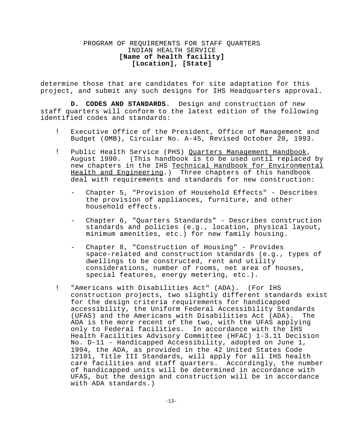determine those that are candidates for site adaptation for this project, and submit any such designs for IHS Headquarters approval.

**D. CODES AND STANDARDS.** Design and construction of new staff quarters will conform to the latest edition of the following identified codes and standards:

- ! Executive Office of the President, Office of Management and Budget (OMB), Circular No. A-45, Revised October 20, 1993.
- ! Public Health Service (PHS) Quarters Management Handbook, August 1990. (This handbook is to be used until replaced by new chapters in the IHS Technical Handbook for Environmental Health and Engineering.) Three chapters of this handbook deal with requirements and standards for new construction:
	- Chapter 5, "Provision of Household Effects" Describes the provision of appliances, furniture, and other household effects.
	- Chapter 6, "Quarters Standards" Describes construction standards and policies (e.g., location, physical layout, minimum amenities, etc.) for new family housing.
	- Chapter 8, "Construction of Housing" Provides space-related and construction standards (e.g., types of dwellings to be constructed, rent and utility considerations, number of rooms, net area of houses, special features, energy metering, etc.).
- ! "Americans with Disabilities Act" (ADA). (For IHS construction projects, two slightly different standards exist for the design criteria requirements for handicapped accessibility, the Uniform Federal Accessibility Standards (UFAS) and the Americans with Disabilities Act (ADA). The ADA is the more recent of the two, with the UFAS applying only to Federal facilities. In accordance with the IHS Health Facilities Advisory Committee (HFAC) 1-3.11 Decision No. D-11 - Handicapped Accessibility, adopted on June 1, 1994, the ADA, as provided in the 42 United States Code 12101, Title III Standards, will apply for all IHS health care facilities and staff quarters. Accordingly, the number of handicapped units will be determined in accordance with UFAS, but the design and construction will be in accordance with ADA standards.)